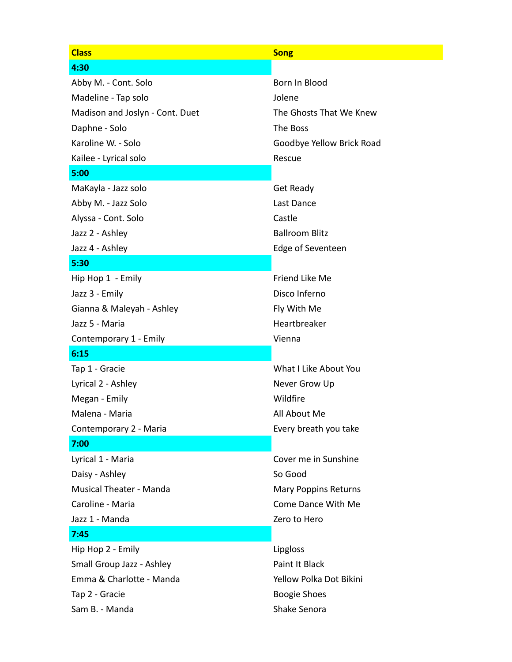| <b>Class</b>                    | <b>Song</b>                 |
|---------------------------------|-----------------------------|
| 4:30                            |                             |
| Abby M. - Cont. Solo            | Born In Blood               |
| Madeline - Tap solo             | Jolene                      |
| Madison and Joslyn - Cont. Duet | The Ghosts That We Knew     |
| Daphne - Solo                   | The Boss                    |
| Karoline W. - Solo              | Goodbye Yellow Brick Road   |
| Kailee - Lyrical solo           | Rescue                      |
| 5:00                            |                             |
| MaKayla - Jazz solo             | <b>Get Ready</b>            |
| Abby M. - Jazz Solo             | Last Dance                  |
| Alyssa - Cont. Solo             | Castle                      |
| Jazz 2 - Ashley                 | <b>Ballroom Blitz</b>       |
| Jazz 4 - Ashley                 | Edge of Seventeen           |
| 5:30                            |                             |
| Hip Hop 1 - Emily               | Friend Like Me              |
| Jazz 3 - Emily                  | Disco Inferno               |
| Gianna & Maleyah - Ashley       | Fly With Me                 |
| Jazz 5 - Maria                  | Heartbreaker                |
| Contemporary 1 - Emily          | Vienna                      |
| 6:15                            |                             |
| Tap 1 - Gracie                  | What I Like About You       |
| Lyrical 2 - Ashley              | Never Grow Up               |
| Megan - Emily                   | Wildfire                    |
| Malena - Maria                  | All About Me                |
| Contemporary 2 - Maria          | Every breath you take       |
| 7:00                            |                             |
| Lyrical 1 - Maria               | Cover me in Sunshine        |
| Daisy - Ashley                  | So Good                     |
| <b>Musical Theater - Manda</b>  | <b>Mary Poppins Returns</b> |
| Caroline - Maria                | Come Dance With Me          |
| Jazz 1 - Manda                  | Zero to Hero                |
| 7:45                            |                             |
| Hip Hop 2 - Emily               | Lipgloss                    |
| Small Group Jazz - Ashley       | Paint It Black              |
| Emma & Charlotte - Manda        | Yellow Polka Dot Bikini     |
| Tap 2 - Gracie                  | <b>Boogie Shoes</b>         |
| Sam B. - Manda                  | Shake Senora                |